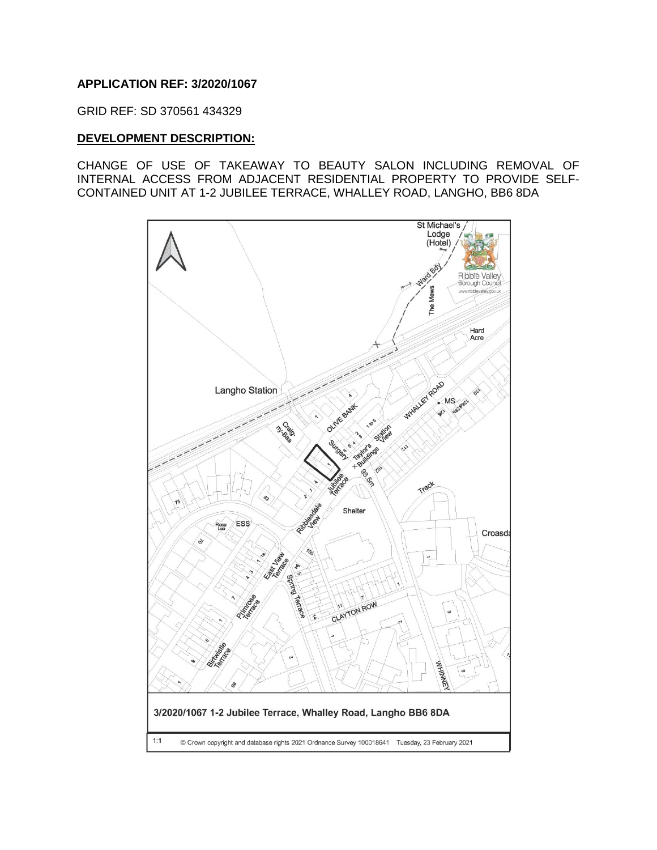### **APPLICATION REF: 3/2020/1067**

GRID REF: SD 370561 434329

#### **DEVELOPMENT DESCRIPTION:**

CHANGE OF USE OF TAKEAWAY TO BEAUTY SALON INCLUDING REMOVAL OF INTERNAL ACCESS FROM ADJACENT RESIDENTIAL PROPERTY TO PROVIDE SELF-CONTAINED UNIT AT 1-2 JUBILEE TERRACE, WHALLEY ROAD, LANGHO, BB6 8DA

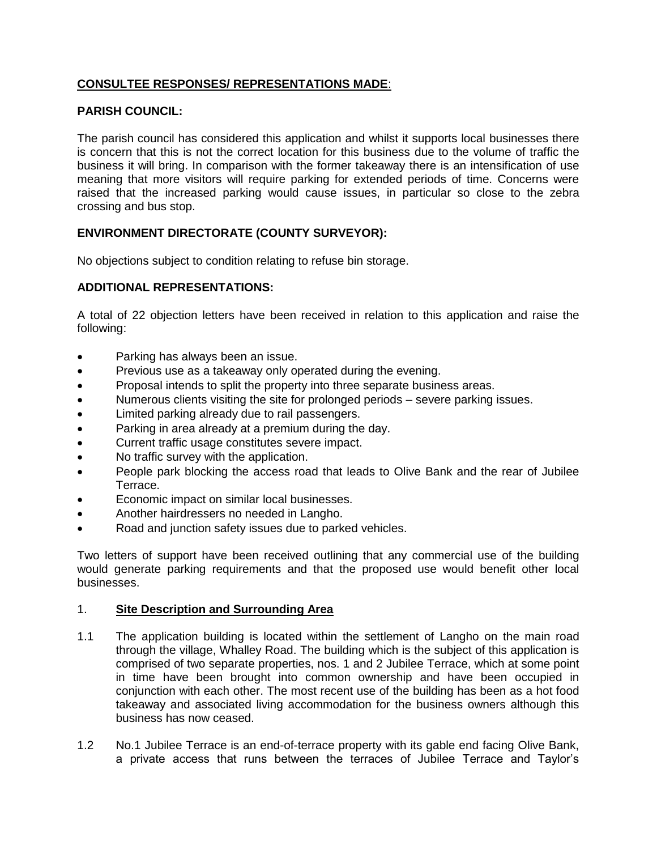# **CONSULTEE RESPONSES/ REPRESENTATIONS MADE**:

# **PARISH COUNCIL:**

The parish council has considered this application and whilst it supports local businesses there is concern that this is not the correct location for this business due to the volume of traffic the business it will bring. In comparison with the former takeaway there is an intensification of use meaning that more visitors will require parking for extended periods of time. Concerns were raised that the increased parking would cause issues, in particular so close to the zebra crossing and bus stop.

# **ENVIRONMENT DIRECTORATE (COUNTY SURVEYOR):**

No objections subject to condition relating to refuse bin storage.

# **ADDITIONAL REPRESENTATIONS:**

A total of 22 objection letters have been received in relation to this application and raise the following:

- Parking has always been an issue.
- Previous use as a takeaway only operated during the evening.
- Proposal intends to split the property into three separate business areas.
- Numerous clients visiting the site for prolonged periods severe parking issues.
- Limited parking already due to rail passengers.
- Parking in area already at a premium during the day.
- Current traffic usage constitutes severe impact.
- No traffic survey with the application.
- People park blocking the access road that leads to Olive Bank and the rear of Jubilee Terrace.
- Economic impact on similar local businesses.
- Another hairdressers no needed in Langho.
- Road and junction safety issues due to parked vehicles.

Two letters of support have been received outlining that any commercial use of the building would generate parking requirements and that the proposed use would benefit other local businesses.

#### 1. **Site Description and Surrounding Area**

- 1.1 The application building is located within the settlement of Langho on the main road through the village, Whalley Road. The building which is the subject of this application is comprised of two separate properties, nos. 1 and 2 Jubilee Terrace, which at some point in time have been brought into common ownership and have been occupied in conjunction with each other. The most recent use of the building has been as a hot food takeaway and associated living accommodation for the business owners although this business has now ceased.
- 1.2 No.1 Jubilee Terrace is an end-of-terrace property with its gable end facing Olive Bank, a private access that runs between the terraces of Jubilee Terrace and Taylor's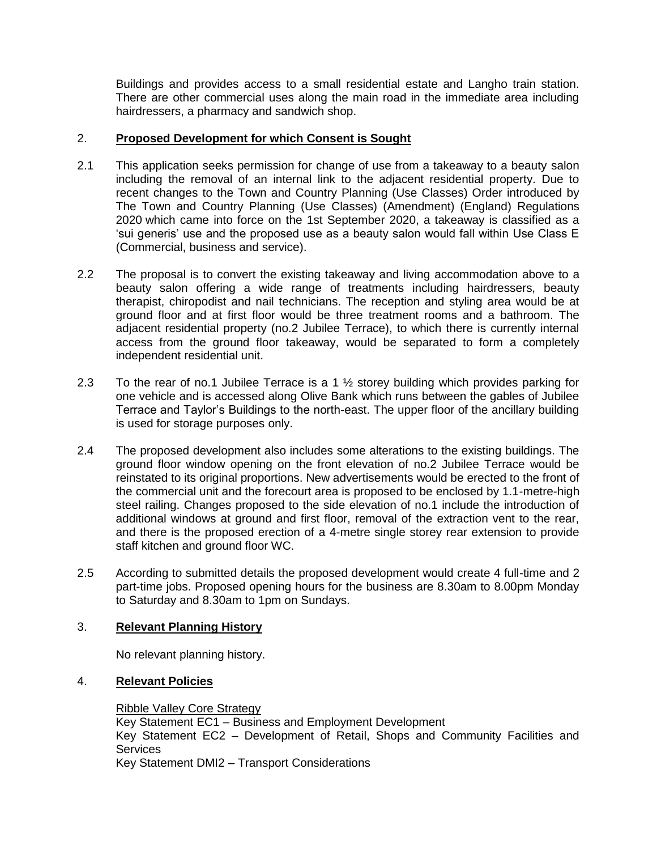Buildings and provides access to a small residential estate and Langho train station. There are other commercial uses along the main road in the immediate area including hairdressers, a pharmacy and sandwich shop.

# 2. **Proposed Development for which Consent is Sought**

- 2.1 This application seeks permission for change of use from a takeaway to a beauty salon including the removal of an internal link to the adjacent residential property. Due to recent changes to the Town and Country Planning (Use Classes) Order introduced by The Town and Country Planning (Use Classes) (Amendment) (England) Regulations 2020 which came into force on the 1st September 2020, a takeaway is classified as a 'sui generis' use and the proposed use as a beauty salon would fall within Use Class E (Commercial, business and service).
- 2.2 The proposal is to convert the existing takeaway and living accommodation above to a beauty salon offering a wide range of treatments including hairdressers, beauty therapist, chiropodist and nail technicians. The reception and styling area would be at ground floor and at first floor would be three treatment rooms and a bathroom. The adjacent residential property (no.2 Jubilee Terrace), to which there is currently internal access from the ground floor takeaway, would be separated to form a completely independent residential unit.
- 2.3 To the rear of no.1 Jubilee Terrace is a 1 ½ storey building which provides parking for one vehicle and is accessed along Olive Bank which runs between the gables of Jubilee Terrace and Taylor's Buildings to the north-east. The upper floor of the ancillary building is used for storage purposes only.
- 2.4 The proposed development also includes some alterations to the existing buildings. The ground floor window opening on the front elevation of no.2 Jubilee Terrace would be reinstated to its original proportions. New advertisements would be erected to the front of the commercial unit and the forecourt area is proposed to be enclosed by 1.1-metre-high steel railing. Changes proposed to the side elevation of no.1 include the introduction of additional windows at ground and first floor, removal of the extraction vent to the rear, and there is the proposed erection of a 4-metre single storey rear extension to provide staff kitchen and ground floor WC.
- 2.5 According to submitted details the proposed development would create 4 full-time and 2 part-time jobs. Proposed opening hours for the business are 8.30am to 8.00pm Monday to Saturday and 8.30am to 1pm on Sundays.

# 3. **Relevant Planning History**

No relevant planning history.

# 4. **Relevant Policies**

Ribble Valley Core Strategy Key Statement EC1 – Business and Employment Development Key Statement EC2 – Development of Retail, Shops and Community Facilities and **Services** Key Statement DMI2 – Transport Considerations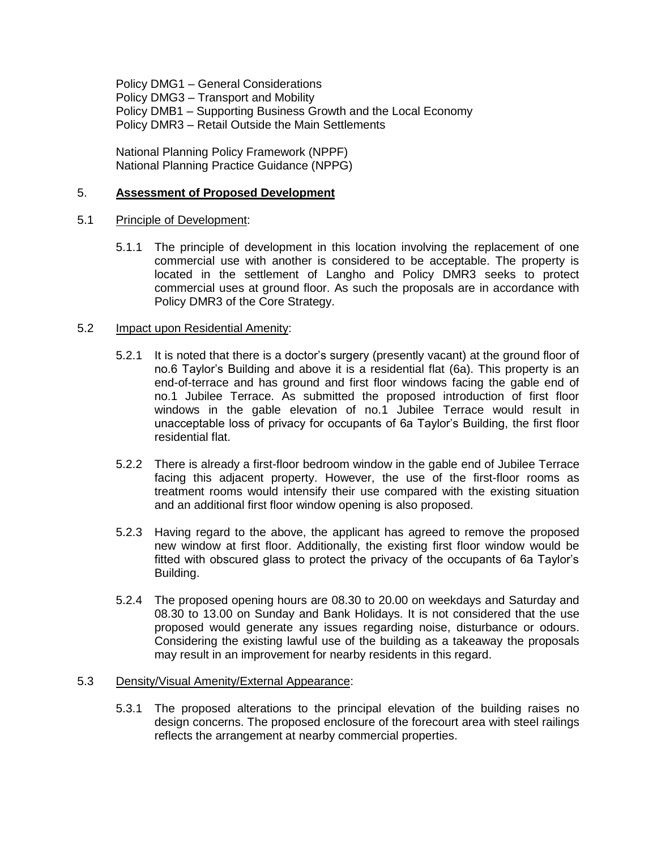Policy DMG1 – General Considerations Policy DMG3 – Transport and Mobility Policy DMB1 – Supporting Business Growth and the Local Economy Policy DMR3 – Retail Outside the Main Settlements

National Planning Policy Framework (NPPF) National Planning Practice Guidance (NPPG)

#### 5. **Assessment of Proposed Development**

#### 5.1 Principle of Development:

5.1.1 The principle of development in this location involving the replacement of one commercial use with another is considered to be acceptable. The property is located in the settlement of Langho and Policy DMR3 seeks to protect commercial uses at ground floor. As such the proposals are in accordance with Policy DMR3 of the Core Strategy.

### 5.2 Impact upon Residential Amenity:

- 5.2.1 It is noted that there is a doctor's surgery (presently vacant) at the ground floor of no.6 Taylor's Building and above it is a residential flat (6a). This property is an end-of-terrace and has ground and first floor windows facing the gable end of no.1 Jubilee Terrace. As submitted the proposed introduction of first floor windows in the gable elevation of no.1 Jubilee Terrace would result in unacceptable loss of privacy for occupants of 6a Taylor's Building, the first floor residential flat.
- 5.2.2 There is already a first-floor bedroom window in the gable end of Jubilee Terrace facing this adjacent property. However, the use of the first-floor rooms as treatment rooms would intensify their use compared with the existing situation and an additional first floor window opening is also proposed.
- 5.2.3 Having regard to the above, the applicant has agreed to remove the proposed new window at first floor. Additionally, the existing first floor window would be fitted with obscured glass to protect the privacy of the occupants of 6a Taylor's Building.
- 5.2.4 The proposed opening hours are 08.30 to 20.00 on weekdays and Saturday and 08.30 to 13.00 on Sunday and Bank Holidays. It is not considered that the use proposed would generate any issues regarding noise, disturbance or odours. Considering the existing lawful use of the building as a takeaway the proposals may result in an improvement for nearby residents in this regard.

#### 5.3 Density/Visual Amenity/External Appearance:

5.3.1 The proposed alterations to the principal elevation of the building raises no design concerns. The proposed enclosure of the forecourt area with steel railings reflects the arrangement at nearby commercial properties.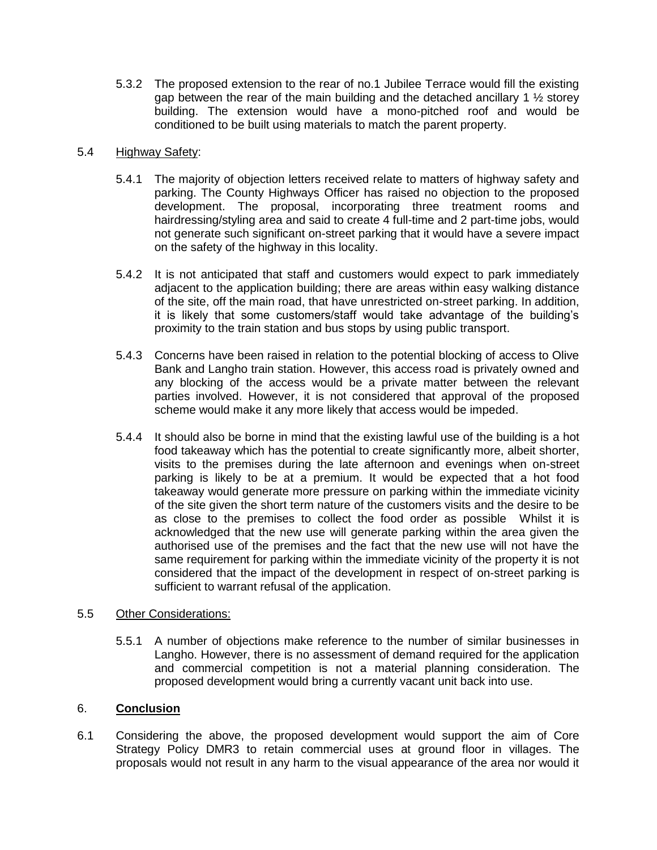5.3.2 The proposed extension to the rear of no.1 Jubilee Terrace would fill the existing gap between the rear of the main building and the detached ancillary 1 ½ storey building. The extension would have a mono-pitched roof and would be conditioned to be built using materials to match the parent property.

### 5.4 Highway Safety:

- 5.4.1 The majority of objection letters received relate to matters of highway safety and parking. The County Highways Officer has raised no objection to the proposed development. The proposal, incorporating three treatment rooms and hairdressing/styling area and said to create 4 full-time and 2 part-time jobs, would not generate such significant on-street parking that it would have a severe impact on the safety of the highway in this locality.
- 5.4.2 It is not anticipated that staff and customers would expect to park immediately adjacent to the application building; there are areas within easy walking distance of the site, off the main road, that have unrestricted on-street parking. In addition, it is likely that some customers/staff would take advantage of the building's proximity to the train station and bus stops by using public transport.
- 5.4.3 Concerns have been raised in relation to the potential blocking of access to Olive Bank and Langho train station. However, this access road is privately owned and any blocking of the access would be a private matter between the relevant parties involved. However, it is not considered that approval of the proposed scheme would make it any more likely that access would be impeded.
- 5.4.4 It should also be borne in mind that the existing lawful use of the building is a hot food takeaway which has the potential to create significantly more, albeit shorter, visits to the premises during the late afternoon and evenings when on-street parking is likely to be at a premium. It would be expected that a hot food takeaway would generate more pressure on parking within the immediate vicinity of the site given the short term nature of the customers visits and the desire to be as close to the premises to collect the food order as possible Whilst it is acknowledged that the new use will generate parking within the area given the authorised use of the premises and the fact that the new use will not have the same requirement for parking within the immediate vicinity of the property it is not considered that the impact of the development in respect of on-street parking is sufficient to warrant refusal of the application.

# 5.5 Other Considerations:

5.5.1 A number of objections make reference to the number of similar businesses in Langho. However, there is no assessment of demand required for the application and commercial competition is not a material planning consideration. The proposed development would bring a currently vacant unit back into use.

# 6. **Conclusion**

6.1 Considering the above, the proposed development would support the aim of Core Strategy Policy DMR3 to retain commercial uses at ground floor in villages. The proposals would not result in any harm to the visual appearance of the area nor would it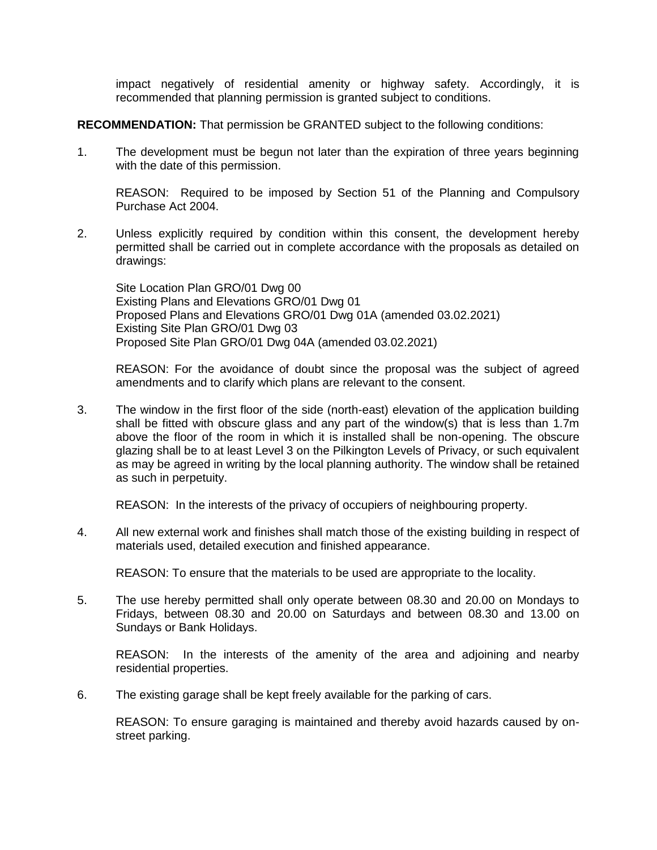impact negatively of residential amenity or highway safety. Accordingly, it is recommended that planning permission is granted subject to conditions.

**RECOMMENDATION:** That permission be GRANTED subject to the following conditions:

1. The development must be begun not later than the expiration of three years beginning with the date of this permission.

REASON: Required to be imposed by Section 51 of the Planning and Compulsory Purchase Act 2004.

2. Unless explicitly required by condition within this consent, the development hereby permitted shall be carried out in complete accordance with the proposals as detailed on drawings:

Site Location Plan GRO/01 Dwg 00 Existing Plans and Elevations GRO/01 Dwg 01 Proposed Plans and Elevations GRO/01 Dwg 01A (amended 03.02.2021) Existing Site Plan GRO/01 Dwg 03 Proposed Site Plan GRO/01 Dwg 04A (amended 03.02.2021)

REASON: For the avoidance of doubt since the proposal was the subject of agreed amendments and to clarify which plans are relevant to the consent.

3. The window in the first floor of the side (north-east) elevation of the application building shall be fitted with obscure glass and any part of the window(s) that is less than 1.7m above the floor of the room in which it is installed shall be non-opening. The obscure glazing shall be to at least Level 3 on the Pilkington Levels of Privacy, or such equivalent as may be agreed in writing by the local planning authority. The window shall be retained as such in perpetuity.

REASON: In the interests of the privacy of occupiers of neighbouring property.

4. All new external work and finishes shall match those of the existing building in respect of materials used, detailed execution and finished appearance.

REASON: To ensure that the materials to be used are appropriate to the locality.

5. The use hereby permitted shall only operate between 08.30 and 20.00 on Mondays to Fridays, between 08.30 and 20.00 on Saturdays and between 08.30 and 13.00 on Sundays or Bank Holidays.

REASON: In the interests of the amenity of the area and adjoining and nearby residential properties.

6. The existing garage shall be kept freely available for the parking of cars.

REASON: To ensure garaging is maintained and thereby avoid hazards caused by onstreet parking.